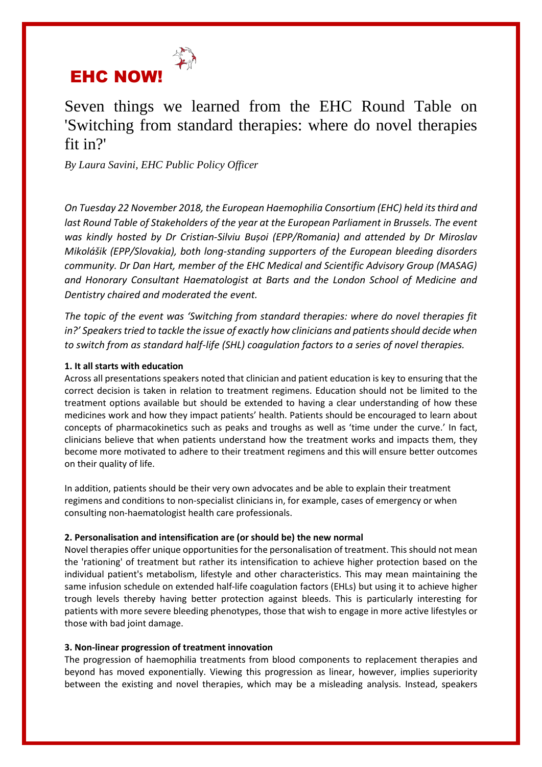

Seven things we learned from the EHC Round Table on 'Switching from standard therapies: where do novel therapies fit in?'

*By Laura Savini, EHC Public Policy Officer*

*On Tuesday 22 November 2018, the European Haemophilia Consortium (EHC) held its third and*  last Round Table of Stakeholders of the year at the European Parliament in Brussels. The event *was kindly hosted by Dr Cristian-Silviu Bușoi (EPP/Romania) and attended by Dr Miroslav Mikolášik (EPP/Slovakia), both long-standing supporters of the European bleeding disorders community. Dr Dan Hart, member of the EHC Medical and Scientific Advisory Group (MASAG) and Honorary Consultant Haematologist at Barts and the London School of Medicine and Dentistry chaired and moderated the event.* 

*The topic of the event was 'Switching from standard therapies: where do novel therapies fit in?' Speakers tried to tackle the issue of exactly how clinicians and patients should decide when to switch from as standard half-life (SHL) coagulation factors to a series of novel therapies.* 

# **1. It all starts with education**

Across all presentations speakers noted that clinician and patient education is key to ensuring that the correct decision is taken in relation to treatment regimens. Education should not be limited to the treatment options available but should be extended to having a clear understanding of how these medicines work and how they impact patients' health. Patients should be encouraged to learn about concepts of pharmacokinetics such as peaks and troughs as well as 'time under the curve.' In fact, clinicians believe that when patients understand how the treatment works and impacts them, they become more motivated to adhere to their treatment regimens and this will ensure better outcomes on their quality of life.

In addition, patients should be their very own advocates and be able to explain their treatment regimens and conditions to non-specialist clinicians in, for example, cases of emergency or when consulting non-haematologist health care professionals.

## **2. Personalisation and intensification are (or should be) the new normal**

Novel therapies offer unique opportunities for the personalisation of treatment. This should not mean the 'rationing' of treatment but rather its intensification to achieve higher protection based on the individual patient's metabolism, lifestyle and other characteristics. This may mean maintaining the same infusion schedule on extended half-life coagulation factors (EHLs) but using it to achieve higher trough levels thereby having better protection against bleeds. This is particularly interesting for patients with more severe bleeding phenotypes, those that wish to engage in more active lifestyles or those with bad joint damage.

## **3. Non-linear progression of treatment innovation**

The progression of haemophilia treatments from blood components to replacement therapies and beyond has moved exponentially. Viewing this progression as linear, however, implies superiority between the existing and novel therapies, which may be a misleading analysis. Instead, speakers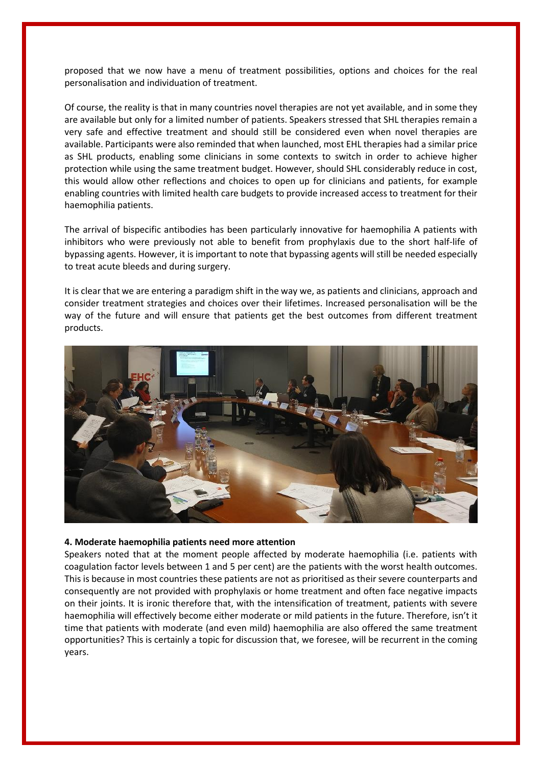proposed that we now have a menu of treatment possibilities, options and choices for the real personalisation and individuation of treatment.

Of course, the reality is that in many countries novel therapies are not yet available, and in some they are available but only for a limited number of patients. Speakers stressed that SHL therapies remain a very safe and effective treatment and should still be considered even when novel therapies are available. Participants were also reminded that when launched, most EHL therapies had a similar price as SHL products, enabling some clinicians in some contexts to switch in order to achieve higher protection while using the same treatment budget. However, should SHL considerably reduce in cost, this would allow other reflections and choices to open up for clinicians and patients, for example enabling countries with limited health care budgets to provide increased access to treatment for their haemophilia patients.

The arrival of bispecific antibodies has been particularly innovative for haemophilia A patients with inhibitors who were previously not able to benefit from prophylaxis due to the short half-life of bypassing agents. However, it is important to note that bypassing agents will still be needed especially to treat acute bleeds and during surgery.

It is clear that we are entering a paradigm shift in the way we, as patients and clinicians, approach and consider treatment strategies and choices over their lifetimes. Increased personalisation will be the way of the future and will ensure that patients get the best outcomes from different treatment products.



#### **4. Moderate haemophilia patients need more attention**

Speakers noted that at the moment people affected by moderate haemophilia (i.e. patients with coagulation factor levels between 1 and 5 per cent) are the patients with the worst health outcomes. This is because in most countries these patients are not as prioritised as their severe counterparts and consequently are not provided with prophylaxis or home treatment and often face negative impacts on their joints. It is ironic therefore that, with the intensification of treatment, patients with severe haemophilia will effectively become either moderate or mild patients in the future. Therefore, isn't it time that patients with moderate (and even mild) haemophilia are also offered the same treatment opportunities? This is certainly a topic for discussion that, we foresee, will be recurrent in the coming years.